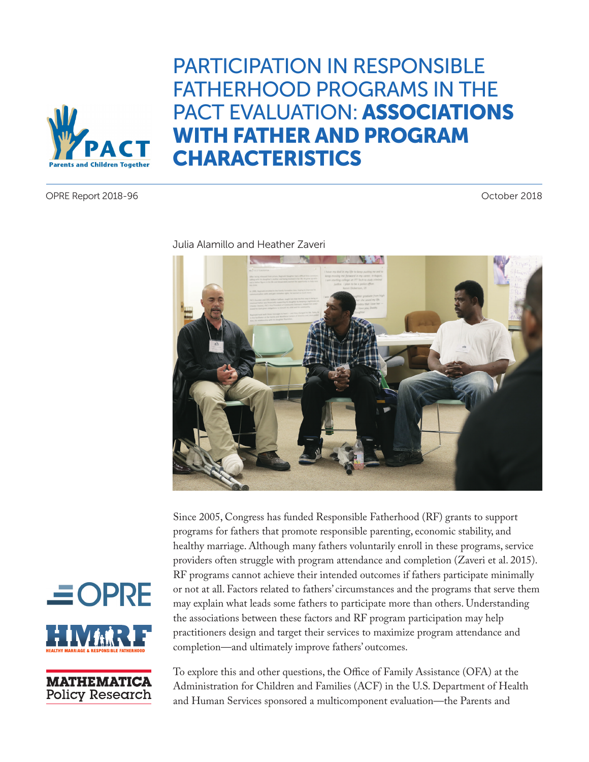

# PARTICIPATION IN RESPONSIBLE FATHERHOOD PROGRAMS IN THE PACT EVALUATION: ASSOCIATIONS WITH FATHER AND PROGRAM CHARACTERISTICS

OPRE Report 2018-96 October 2018



Julia Alamillo and Heather Zaveri

Since 2005, Congress has funded Responsible Fatherhood (RF) grants to support programs for fathers that promote responsible parenting, economic stability, and healthy marriage. Although many fathers voluntarily enroll in these programs, service providers often struggle with program attendance and completion (Zaveri et al. 2015). RF programs cannot achieve their intended outcomes if fathers participate minimally or not at all. Factors related to fathers' circumstances and the programs that serve them may explain what leads some fathers to participate more than others. Understanding the associations between these factors and RF program participation may help practitioners design and target their services to maximize program attendance and completion—and ultimately improve fathers' outcomes.





To explore this and other questions, the Office of Family Assistance (OFA) at the Administration for Children and Families (ACF) in the U.S. Department of Health and Human Services sponsored a multicomponent evaluation—the Parents and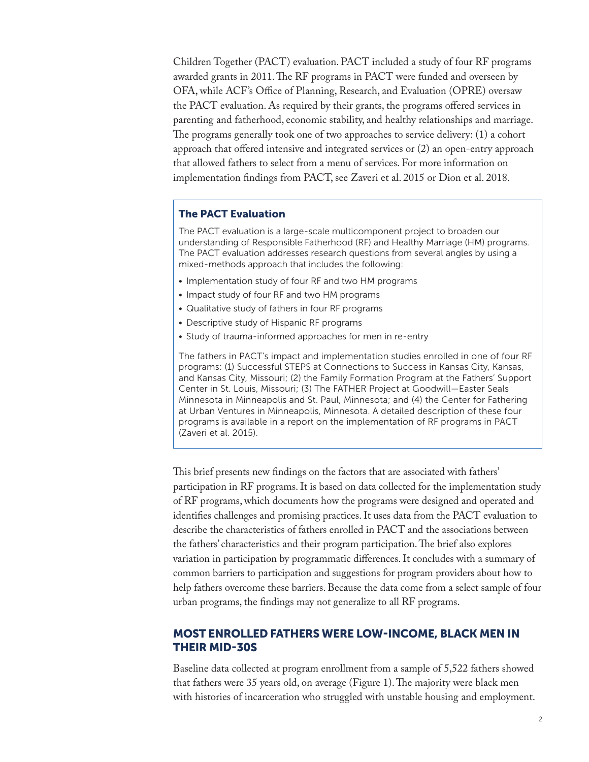Children Together (PACT) evaluation. PACT included a study of four RF programs awarded grants in 2011. The RF programs in PACT were funded and overseen by OFA, while ACF's Office of Planning, Research, and Evaluation (OPRE) oversaw the PACT evaluation. As required by their grants, the programs offered services in parenting and fatherhood, economic stability, and healthy relationships and marriage. The programs generally took one of two approaches to service delivery: (1) a cohort approach that offered intensive and integrated services or (2) an open-entry approach that allowed fathers to select from a menu of services. For more information on implementation findings from PACT, see Zaveri et al. 2015 or Dion et al. 2018.

#### The PACT Evaluation

The PACT evaluation is a large-scale multicomponent project to broaden our understanding of Responsible Fatherhood (RF) and Healthy Marriage (HM) programs. The PACT evaluation addresses research questions from several angles by using a mixed-methods approach that includes the following:

- Implementation study of four RF and two HM programs
- Impact study of four RF and two HM programs
- Qualitative study of fathers in four RF programs
- Descriptive study of Hispanic RF programs
- Study of trauma-informed approaches for men in re-entry

The fathers in PACT's impact and implementation studies enrolled in one of four RF programs: (1) Successful STEPS at Connections to Success in Kansas City, Kansas, and Kansas City, Missouri; (2) the Family Formation Program at the Fathers' Support Center in St. Louis, Missouri; (3) The FATHER Project at Goodwill—Easter Seals Minnesota in Minneapolis and St. Paul, Minnesota; and (4) the Center for Fathering at Urban Ventures in Minneapolis, Minnesota. A detailed description of these four programs is available in a report on the implementation of RF programs in PACT (Zaveri et al. 2015).

This brief presents new findings on the factors that are associated with fathers' participation in RF programs. It is based on data collected for the implementation study of RF programs, which documents how the programs were designed and operated and identifies challenges and promising practices. It uses data from the PACT evaluation to describe the characteristics of fathers enrolled in PACT and the associations between the fathers' characteristics and their program participation. The brief also explores variation in participation by programmatic differences. It concludes with a summary of common barriers to participation and suggestions for program providers about how to help fathers overcome these barriers. Because the data come from a select sample of four urban programs, the findings may not generalize to all RF programs.

## MOST ENROLLED FATHERS WERE LOW-INCOME, BLACK MEN IN THEIR MID-30S

Baseline data collected at program enrollment from a sample of 5,522 fathers showed that fathers were 35 years old, on average (Figure 1). The majority were black men with histories of incarceration who struggled with unstable housing and employment.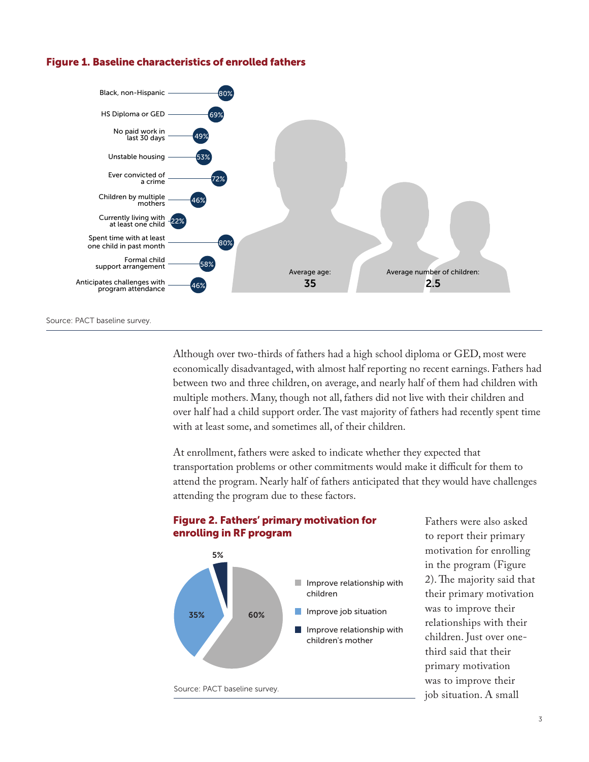

Figure 1. Baseline characteristics of enrolled fathers

Source: PACT baseline survey.

Although over two-thirds of fathers had a high school diploma or GED, most were economically disadvantaged, with almost half reporting no recent earnings. Fathers had between two and three children, on average, and nearly half of them had children with multiple mothers. Many, though not all, fathers did not live with their children and over half had a child support order. The vast majority of fathers had recently spent time with at least some, and sometimes all, of their children.

At enrollment, fathers were asked to indicate whether they expected that transportation problems or other commitments would make it difficult for them to attend the program. Nearly half of fathers anticipated that they would have challenges attending the program due to these factors.



#### Figure 2. Fathers' primary motivation for enrolling in RF program

Fathers were also asked to report their primary motivation for enrolling in the program (Figure 2). The majority said that their primary motivation was to improve their relationships with their children. Just over onethird said that their primary motivation was to improve their job situation. A small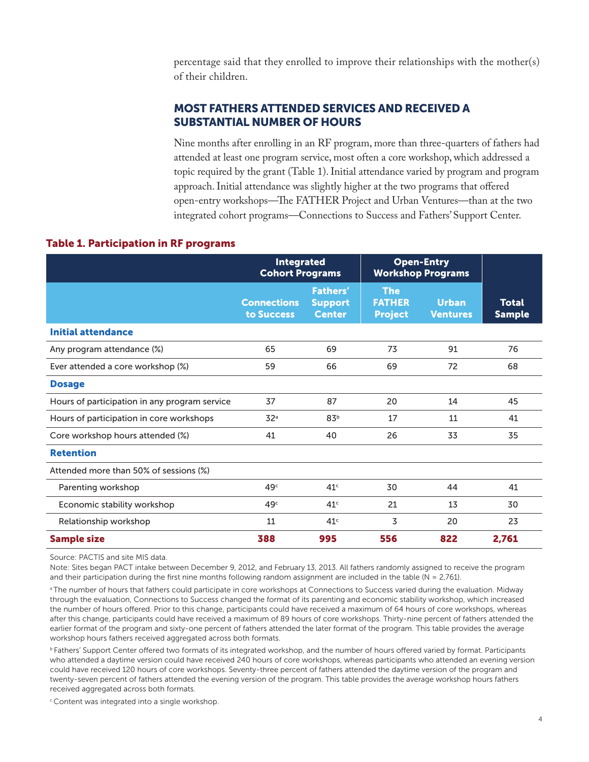percentage said that they enrolled to improve their relationships with the mother(s) of their children.

## MOST FATHERS ATTENDED SERVICES AND RECEIVED A SUBSTANTIAL NUMBER OF HOURS

Nine months after enrolling in an RF program, more than three-quarters of fathers had attended at least one program service, most often a core workshop, which addressed a topic required by the grant (Table 1). Initial attendance varied by program and program approach. Initial attendance was slightly higher at the two programs that offered open-entry workshops—The FATHER Project and Urban Ventures—than at the two integrated cohort programs—Connections to Success and Fathers' Support Center.

#### Table 1. Participation in RF programs

|                                               | <b>Integrated</b><br><b>Cohort Programs</b> |                                                    | <b>Open-Entry</b><br><b>Workshop Programs</b> |                                 |                               |
|-----------------------------------------------|---------------------------------------------|----------------------------------------------------|-----------------------------------------------|---------------------------------|-------------------------------|
|                                               | <b>Connections</b><br>to Success            | <b>Fathers'</b><br><b>Support</b><br><b>Center</b> | <b>The</b><br><b>FATHER</b><br><b>Project</b> | <b>Urban</b><br><b>Ventures</b> | <b>Total</b><br><b>Sample</b> |
| <b>Initial attendance</b>                     |                                             |                                                    |                                               |                                 |                               |
| Any program attendance (%)                    | 65                                          | 69                                                 | 73                                            | 91                              | 76                            |
| Ever attended a core workshop (%)             | 59                                          | 66                                                 | 69                                            | 72                              | 68                            |
| <b>Dosage</b>                                 |                                             |                                                    |                                               |                                 |                               |
| Hours of participation in any program service | 37                                          | 87                                                 | 20                                            | 14                              | 45                            |
| Hours of participation in core workshops      | 32 <sup>a</sup>                             | 83 <sup>b</sup>                                    | 17                                            | 11                              | 41                            |
| Core workshop hours attended (%)              | 41                                          | 40                                                 | 26                                            | 33                              | 35                            |
| <b>Retention</b>                              |                                             |                                                    |                                               |                                 |                               |
| Attended more than 50% of sessions (%)        |                                             |                                                    |                                               |                                 |                               |
| Parenting workshop                            | 49 <sup>c</sup>                             | 41 <sup>c</sup>                                    | 30                                            | 44                              | 41                            |
| Economic stability workshop                   | 49 <sup>c</sup>                             | 41 <sup>c</sup>                                    | 21                                            | 13                              | 30                            |
| Relationship workshop                         | 11                                          | 41 <sup>c</sup>                                    | 3                                             | 20                              | 23                            |
| <b>Sample size</b>                            | 388                                         | 995                                                | 556                                           | 822                             | 2,761                         |

Source: PACTIS and site MIS data.

Note: Sites began PACT intake between December 9, 2012, and February 13, 2013. All fathers randomly assigned to receive the program and their participation during the first nine months following random assignment are included in the table (N = 2,761).

<sup>a</sup> The number of hours that fathers could participate in core workshops at Connections to Success varied during the evaluation. Midway through the evaluation, Connections to Success changed the format of its parenting and economic stability workshop, which increased the number of hours offered. Prior to this change, participants could have received a maximum of 64 hours of core workshops, whereas after this change, participants could have received a maximum of 89 hours of core workshops. Thirty-nine percent of fathers attended the earlier format of the program and sixty-one percent of fathers attended the later format of the program. This table provides the average workshop hours fathers received aggregated across both formats.

**b Fathers' Support Center offered two formats of its integrated workshop, and the number of hours offered varied by format. Participants** who attended a daytime version could have received 240 hours of core workshops, whereas participants who attended an evening version could have received 120 hours of core workshops. Seventy-three percent of fathers attended the daytime version of the program and twenty-seven percent of fathers attended the evening version of the program. This table provides the average workshop hours fathers received aggregated across both formats.

<sup>c</sup> Content was integrated into a single workshop.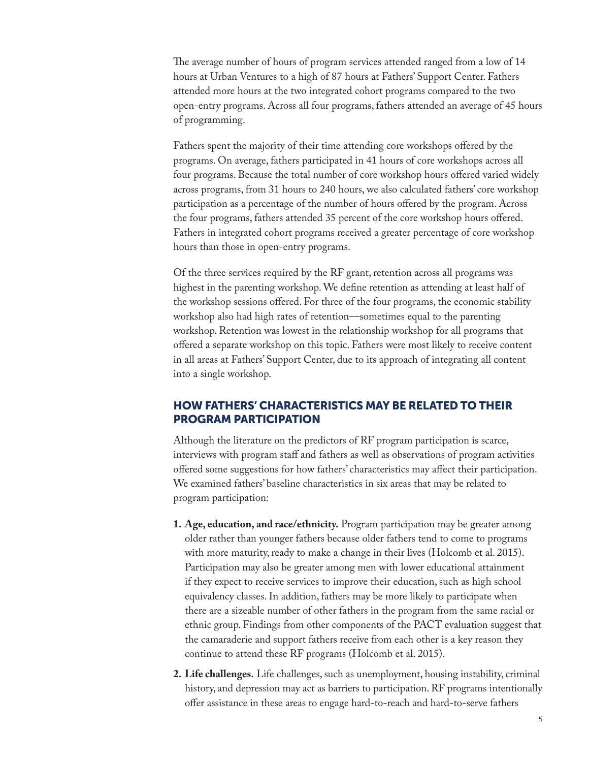The average number of hours of program services attended ranged from a low of 14 hours at Urban Ventures to a high of 87 hours at Fathers' Support Center. Fathers attended more hours at the two integrated cohort programs compared to the two open-entry programs. Across all four programs, fathers attended an average of 45 hours of programming.

Fathers spent the majority of their time attending core workshops offered by the programs. On average, fathers participated in 41 hours of core workshops across all four programs. Because the total number of core workshop hours offered varied widely across programs, from 31 hours to 240 hours, we also calculated fathers' core workshop participation as a percentage of the number of hours offered by the program. Across the four programs, fathers attended 35 percent of the core workshop hours offered. Fathers in integrated cohort programs received a greater percentage of core workshop hours than those in open-entry programs.

Of the three services required by the RF grant, retention across all programs was highest in the parenting workshop. We define retention as attending at least half of the workshop sessions offered. For three of the four programs, the economic stability workshop also had high rates of retention—sometimes equal to the parenting workshop. Retention was lowest in the relationship workshop for all programs that offered a separate workshop on this topic. Fathers were most likely to receive content in all areas at Fathers' Support Center, due to its approach of integrating all content into a single workshop.

## HOW FATHERS' CHARACTERISTICS MAY BE RELATED TO THEIR PROGRAM PARTICIPATION

Although the literature on the predictors of RF program participation is scarce, interviews with program staff and fathers as well as observations of program activities offered some suggestions for how fathers' characteristics may affect their participation. We examined fathers' baseline characteristics in six areas that may be related to program participation:

- **1. Age, education, and race/ethnicity.** Program participation may be greater among older rather than younger fathers because older fathers tend to come to programs with more maturity, ready to make a change in their lives (Holcomb et al. 2015). Participation may also be greater among men with lower educational attainment if they expect to receive services to improve their education, such as high school equivalency classes. In addition, fathers may be more likely to participate when there are a sizeable number of other fathers in the program from the same racial or ethnic group. Findings from other components of the PACT evaluation suggest that the camaraderie and support fathers receive from each other is a key reason they continue to attend these RF programs (Holcomb et al. 2015).
- **2. Life challenges.** Life challenges, such as unemployment, housing instability, criminal history, and depression may act as barriers to participation. RF programs intentionally offer assistance in these areas to engage hard-to-reach and hard-to-serve fathers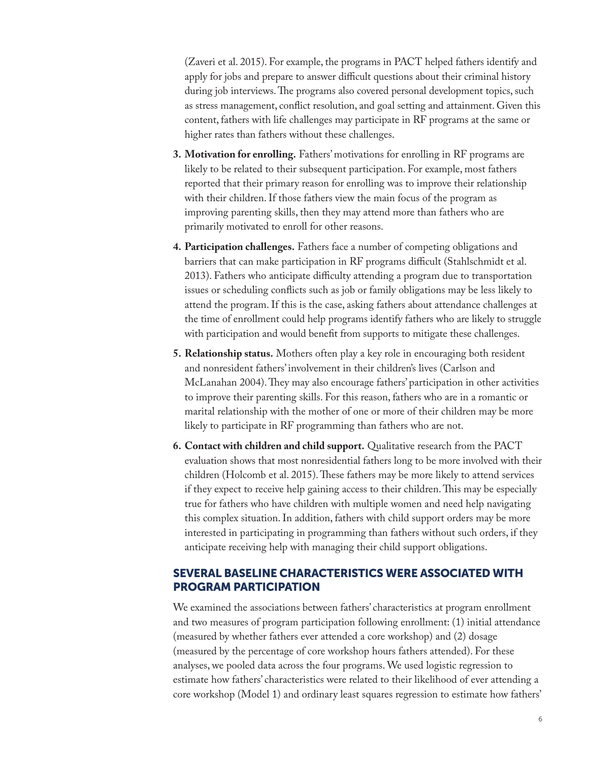(Zaveri et al. 2015). For example, the programs in PACT helped fathers identify and apply for jobs and prepare to answer difficult questions about their criminal history during job interviews. The programs also covered personal development topics, such as stress management, conflict resolution, and goal setting and attainment. Given this content, fathers with life challenges may participate in RF programs at the same or higher rates than fathers without these challenges.

- **3. Motivation for enrolling.** Fathers' motivations for enrolling in RF programs are likely to be related to their subsequent participation. For example, most fathers reported that their primary reason for enrolling was to improve their relationship with their children. If those fathers view the main focus of the program as improving parenting skills, then they may attend more than fathers who are primarily motivated to enroll for other reasons.
- **4. Participation challenges.** Fathers face a number of competing obligations and barriers that can make participation in RF programs difficult (Stahlschmidt et al. 2013). Fathers who anticipate difficulty attending a program due to transportation issues or scheduling conflicts such as job or family obligations may be less likely to attend the program. If this is the case, asking fathers about attendance challenges at the time of enrollment could help programs identify fathers who are likely to struggle with participation and would benefit from supports to mitigate these challenges.
- **5. Relationship status.** Mothers often play a key role in encouraging both resident and nonresident fathers' involvement in their children's lives (Carlson and McLanahan 2004). They may also encourage fathers' participation in other activities to improve their parenting skills. For this reason, fathers who are in a romantic or marital relationship with the mother of one or more of their children may be more likely to participate in RF programming than fathers who are not.
- **6. Contact with children and child support.** Qualitative research from the PACT evaluation shows that most nonresidential fathers long to be more involved with their children (Holcomb et al. 2015). These fathers may be more likely to attend services if they expect to receive help gaining access to their children. This may be especially true for fathers who have children with multiple women and need help navigating this complex situation. In addition, fathers with child support orders may be more interested in participating in programming than fathers without such orders, if they anticipate receiving help with managing their child support obligations.

## SEVERAL BASELINE CHARACTERISTICS WERE ASSOCIATED WITH PROGRAM PARTICIPATION

We examined the associations between fathers' characteristics at program enrollment and two measures of program participation following enrollment: (1) initial attendance (measured by whether fathers ever attended a core workshop) and (2) dosage (measured by the percentage of core workshop hours fathers attended). For these analyses, we pooled data across the four programs. We used logistic regression to estimate how fathers' characteristics were related to their likelihood of ever attending a core workshop (Model 1) and ordinary least squares regression to estimate how fathers'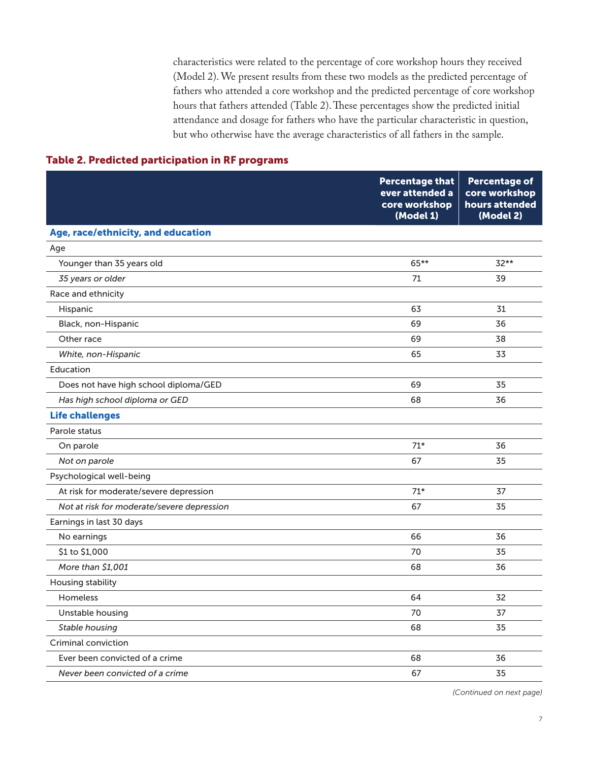characteristics were related to the percentage of core workshop hours they received (Model 2). We present results from these two models as the predicted percentage of fathers who attended a core workshop and the predicted percentage of core workshop hours that fathers attended (Table 2). These percentages show the predicted initial attendance and dosage for fathers who have the particular characteristic in question, but who otherwise have the average characteristics of all fathers in the sample.

### Table 2. Predicted participation in RF programs

|                                            | <b>Percentage that</b><br>ever attended a<br>core workshop<br>(Model 1) | <b>Percentage of</b><br>core workshop<br>hours attended<br>(Model 2) |
|--------------------------------------------|-------------------------------------------------------------------------|----------------------------------------------------------------------|
| Age, race/ethnicity, and education         |                                                                         |                                                                      |
| Age                                        |                                                                         |                                                                      |
| Younger than 35 years old                  | 65**                                                                    | 32**                                                                 |
| 35 years or older                          | 71                                                                      | 39                                                                   |
| Race and ethnicity                         |                                                                         |                                                                      |
| Hispanic                                   | 63                                                                      | 31                                                                   |
| Black, non-Hispanic                        | 69                                                                      | 36                                                                   |
| Other race                                 | 69                                                                      | 38                                                                   |
| White, non-Hispanic                        | 65                                                                      | 33                                                                   |
| Education                                  |                                                                         |                                                                      |
| Does not have high school diploma/GED      | 69                                                                      | 35                                                                   |
| Has high school diploma or GED             | 68                                                                      | 36                                                                   |
| <b>Life challenges</b>                     |                                                                         |                                                                      |
| Parole status                              |                                                                         |                                                                      |
| On parole                                  | $71*$                                                                   | 36                                                                   |
| Not on parole                              | 67                                                                      | 35                                                                   |
| Psychological well-being                   |                                                                         |                                                                      |
| At risk for moderate/severe depression     | $71*$                                                                   | 37                                                                   |
| Not at risk for moderate/severe depression | 67                                                                      | 35                                                                   |
| Earnings in last 30 days                   |                                                                         |                                                                      |
| No earnings                                | 66                                                                      | 36                                                                   |
| \$1 to \$1,000                             | 70                                                                      | 35                                                                   |
| More than \$1,001                          | 68                                                                      | 36                                                                   |
| Housing stability                          |                                                                         |                                                                      |
| Homeless                                   | 64                                                                      | 32                                                                   |
| Unstable housing                           | 70                                                                      | 37                                                                   |
| Stable housing                             | 68                                                                      | 35                                                                   |
| Criminal conviction                        |                                                                         |                                                                      |
| Ever been convicted of a crime             | 68                                                                      | 36                                                                   |
| Never been convicted of a crime            | 67                                                                      | 35                                                                   |

*(Continued on next page)*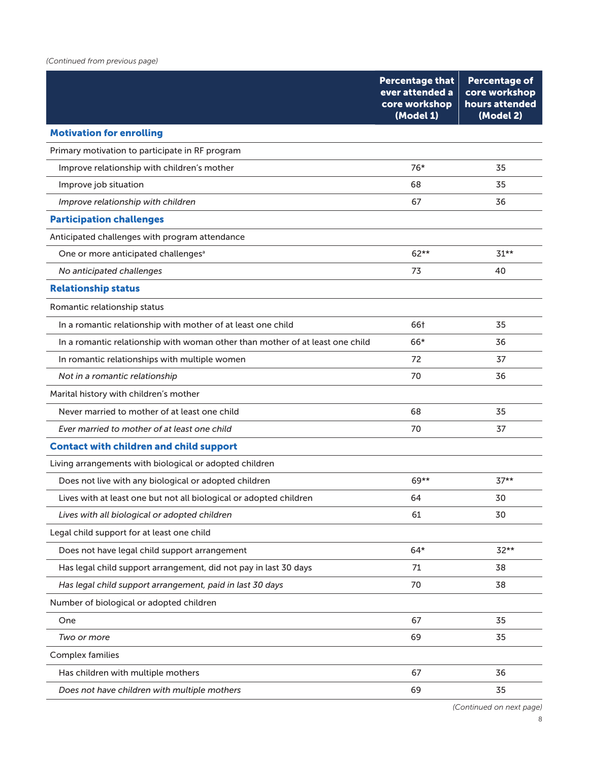|                                                                               | <b>Percentage that</b><br>ever attended a<br>core workshop<br>(Model 1) | <b>Percentage of</b><br>core workshop<br>hours attended<br>(Model 2) |
|-------------------------------------------------------------------------------|-------------------------------------------------------------------------|----------------------------------------------------------------------|
| <b>Motivation for enrolling</b>                                               |                                                                         |                                                                      |
| Primary motivation to participate in RF program                               |                                                                         |                                                                      |
| Improve relationship with children's mother                                   | 76*                                                                     | 35                                                                   |
| Improve job situation                                                         | 68                                                                      | 35                                                                   |
| Improve relationship with children                                            | 67                                                                      | 36                                                                   |
| <b>Participation challenges</b>                                               |                                                                         |                                                                      |
| Anticipated challenges with program attendance                                |                                                                         |                                                                      |
| One or more anticipated challenges <sup>a</sup>                               | 62**                                                                    | $31**$                                                               |
| No anticipated challenges                                                     | 73                                                                      | 40                                                                   |
| <b>Relationship status</b>                                                    |                                                                         |                                                                      |
| Romantic relationship status                                                  |                                                                         |                                                                      |
| In a romantic relationship with mother of at least one child                  | 66†                                                                     | 35                                                                   |
| In a romantic relationship with woman other than mother of at least one child | 66*                                                                     | 36                                                                   |
| In romantic relationships with multiple women                                 | 72                                                                      | 37                                                                   |
| Not in a romantic relationship                                                | 70                                                                      | 36                                                                   |
| Marital history with children's mother                                        |                                                                         |                                                                      |
| Never married to mother of at least one child                                 | 68                                                                      | 35                                                                   |
| Ever married to mother of at least one child                                  | 70                                                                      | 37                                                                   |
| <b>Contact with children and child support</b>                                |                                                                         |                                                                      |
| Living arrangements with biological or adopted children                       |                                                                         |                                                                      |
| Does not live with any biological or adopted children                         | $69**$                                                                  | $37**$                                                               |
| Lives with at least one but not all biological or adopted children            | 64                                                                      | 30                                                                   |
| Lives with all biological or adopted children                                 | 61                                                                      | 30                                                                   |
| Legal child support for at least one child                                    |                                                                         |                                                                      |
| Does not have legal child support arrangement                                 | $64*$                                                                   | $32**$                                                               |
| Has legal child support arrangement, did not pay in last 30 days              | 71                                                                      | 38                                                                   |
| Has legal child support arrangement, paid in last 30 days                     | 70                                                                      | 38                                                                   |
| Number of biological or adopted children                                      |                                                                         |                                                                      |
| One                                                                           | 67                                                                      | 35                                                                   |
| Two or more                                                                   | 69                                                                      | 35                                                                   |
| Complex families                                                              |                                                                         |                                                                      |
| Has children with multiple mothers                                            | 67                                                                      | 36                                                                   |
| Does not have children with multiple mothers                                  | 69                                                                      | 35                                                                   |
|                                                                               |                                                                         |                                                                      |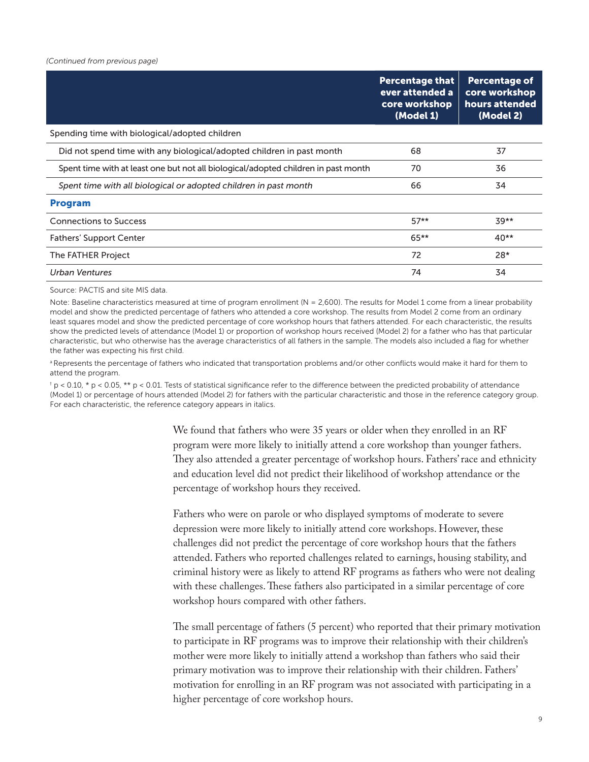| <b>Percentage that</b><br>ever attended a<br>core workshop<br>(Model 1) | <b>Percentage of</b><br>core workshop<br>hours attended<br>(Model 2) |
|-------------------------------------------------------------------------|----------------------------------------------------------------------|
|                                                                         |                                                                      |
| 68                                                                      | 37                                                                   |
| 70                                                                      | 36                                                                   |
| 66                                                                      | 34                                                                   |
|                                                                         |                                                                      |
| $57**$                                                                  | $39**$                                                               |
| $65***$                                                                 | $40**$                                                               |
| 72                                                                      | $28*$                                                                |
| 74                                                                      | 34                                                                   |
|                                                                         |                                                                      |

Source: PACTIS and site MIS data.

Note: Baseline characteristics measured at time of program enrollment (N = 2,600). The results for Model 1 come from a linear probability model and show the predicted percentage of fathers who attended a core workshop. The results from Model 2 come from an ordinary least squares model and show the predicted percentage of core workshop hours that fathers attended. For each characteristic, the results show the predicted levels of attendance (Model 1) or proportion of workshop hours received (Model 2) for a father who has that particular characteristic, but who otherwise has the average characteristics of all fathers in the sample. The models also included a flag for whether the father was expecting his first child.

a Represents the percentage of fathers who indicated that transportation problems and/or other conflicts would make it hard for them to attend the program.

 $^{\dagger}$  p < 0.10, \* p < 0.05, \*\* p < 0.01. Tests of statistical significance refer to the difference between the predicted probability of attendance (Model 1) or percentage of hours attended (Model 2) for fathers with the particular characteristic and those in the reference category group. For each characteristic, the reference category appears in italics.

> We found that fathers who were 35 years or older when they enrolled in an RF program were more likely to initially attend a core workshop than younger fathers. They also attended a greater percentage of workshop hours. Fathers' race and ethnicity and education level did not predict their likelihood of workshop attendance or the percentage of workshop hours they received.

> Fathers who were on parole or who displayed symptoms of moderate to severe depression were more likely to initially attend core workshops. However, these challenges did not predict the percentage of core workshop hours that the fathers attended. Fathers who reported challenges related to earnings, housing stability, and criminal history were as likely to attend RF programs as fathers who were not dealing with these challenges. These fathers also participated in a similar percentage of core workshop hours compared with other fathers.

The small percentage of fathers (5 percent) who reported that their primary motivation to participate in RF programs was to improve their relationship with their children's mother were more likely to initially attend a workshop than fathers who said their primary motivation was to improve their relationship with their children. Fathers' motivation for enrolling in an RF program was not associated with participating in a higher percentage of core workshop hours.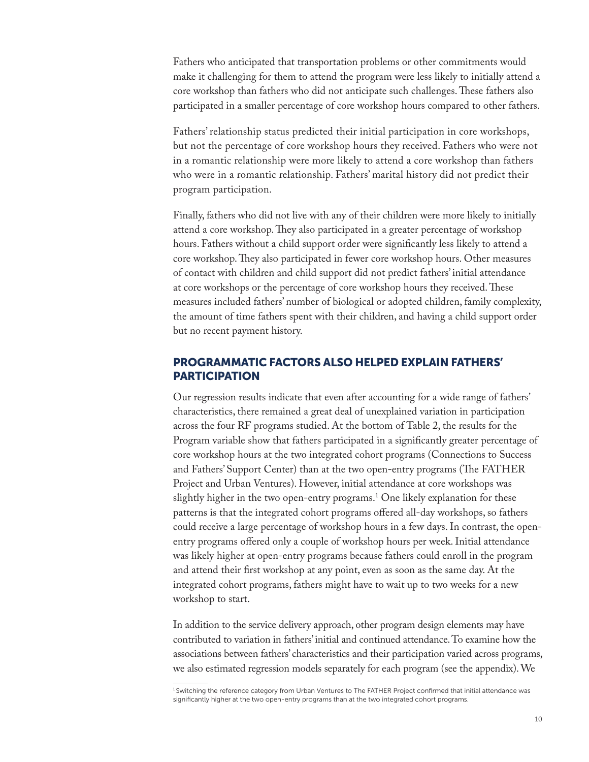Fathers who anticipated that transportation problems or other commitments would make it challenging for them to attend the program were less likely to initially attend a core workshop than fathers who did not anticipate such challenges. These fathers also participated in a smaller percentage of core workshop hours compared to other fathers.

Fathers' relationship status predicted their initial participation in core workshops, but not the percentage of core workshop hours they received. Fathers who were not in a romantic relationship were more likely to attend a core workshop than fathers who were in a romantic relationship. Fathers' marital history did not predict their program participation.

Finally, fathers who did not live with any of their children were more likely to initially attend a core workshop. They also participated in a greater percentage of workshop hours. Fathers without a child support order were significantly less likely to attend a core workshop. They also participated in fewer core workshop hours. Other measures of contact with children and child support did not predict fathers' initial attendance at core workshops or the percentage of core workshop hours they received. These measures included fathers' number of biological or adopted children, family complexity, the amount of time fathers spent with their children, and having a child support order but no recent payment history.

#### PROGRAMMATIC FACTORS ALSO HELPED EXPLAIN FATHERS' **PARTICIPATION**

Our regression results indicate that even after accounting for a wide range of fathers' characteristics, there remained a great deal of unexplained variation in participation across the four RF programs studied. At the bottom of Table 2, the results for the Program variable show that fathers participated in a significantly greater percentage of core workshop hours at the two integrated cohort programs (Connections to Success and Fathers' Support Center) than at the two open-entry programs (The FATHER Project and Urban Ventures). However, initial attendance at core workshops was slightly higher in the two open-entry programs.1 One likely explanation for these patterns is that the integrated cohort programs offered all-day workshops, so fathers could receive a large percentage of workshop hours in a few days. In contrast, the openentry programs offered only a couple of workshop hours per week. Initial attendance was likely higher at open-entry programs because fathers could enroll in the program and attend their first workshop at any point, even as soon as the same day. At the integrated cohort programs, fathers might have to wait up to two weeks for a new workshop to start.

In addition to the service delivery approach, other program design elements may have contributed to variation in fathers' initial and continued attendance. To examine how the associations between fathers' characteristics and their participation varied across programs, we also estimated regression models separately for each program (see the appendix). We

<sup>&</sup>lt;sup>1</sup> Switching the reference category from Urban Ventures to The FATHER Project confirmed that initial attendance was significantly higher at the two open-entry programs than at the two integrated cohort programs.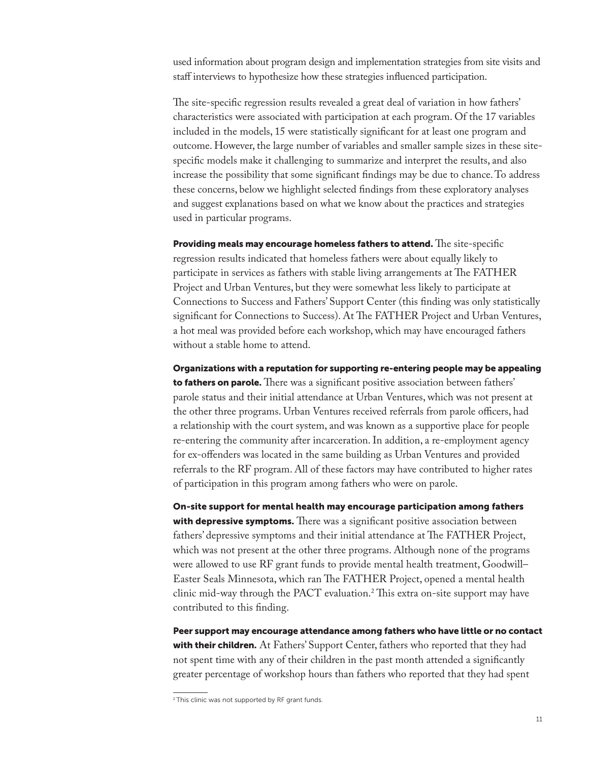used information about program design and implementation strategies from site visits and staff interviews to hypothesize how these strategies influenced participation.

The site-specific regression results revealed a great deal of variation in how fathers' characteristics were associated with participation at each program. Of the 17 variables included in the models, 15 were statistically significant for at least one program and outcome. However, the large number of variables and smaller sample sizes in these sitespecific models make it challenging to summarize and interpret the results, and also increase the possibility that some significant findings may be due to chance. To address these concerns, below we highlight selected findings from these exploratory analyses and suggest explanations based on what we know about the practices and strategies used in particular programs.

Providing meals may encourage homeless fathers to attend. The site-specific regression results indicated that homeless fathers were about equally likely to participate in services as fathers with stable living arrangements at The FATHER Project and Urban Ventures, but they were somewhat less likely to participate at Connections to Success and Fathers' Support Center (this finding was only statistically significant for Connections to Success). At The FATHER Project and Urban Ventures, a hot meal was provided before each workshop, which may have encouraged fathers without a stable home to attend.

Organizations with a reputation for supporting re-entering people may be appealing to fathers on parole. There was a significant positive association between fathers' parole status and their initial attendance at Urban Ventures, which was not present at the other three programs. Urban Ventures received referrals from parole officers, had a relationship with the court system, and was known as a supportive place for people re-entering the community after incarceration. In addition, a re-employment agency for ex-offenders was located in the same building as Urban Ventures and provided referrals to the RF program. All of these factors may have contributed to higher rates of participation in this program among fathers who were on parole.

On-site support for mental health may encourage participation among fathers with depressive symptoms. There was a significant positive association between fathers' depressive symptoms and their initial attendance at The FATHER Project, which was not present at the other three programs. Although none of the programs were allowed to use RF grant funds to provide mental health treatment, Goodwill– Easter Seals Minnesota, which ran The FATHER Project, opened a mental health clinic mid-way through the PACT evaluation.2 This extra on-site support may have contributed to this finding.

Peer support may encourage attendance among fathers who have little or no contact with their children. At Fathers' Support Center, fathers who reported that they had not spent time with any of their children in the past month attended a significantly greater percentage of workshop hours than fathers who reported that they had spent

<sup>&</sup>lt;sup>2</sup> This clinic was not supported by RF grant funds.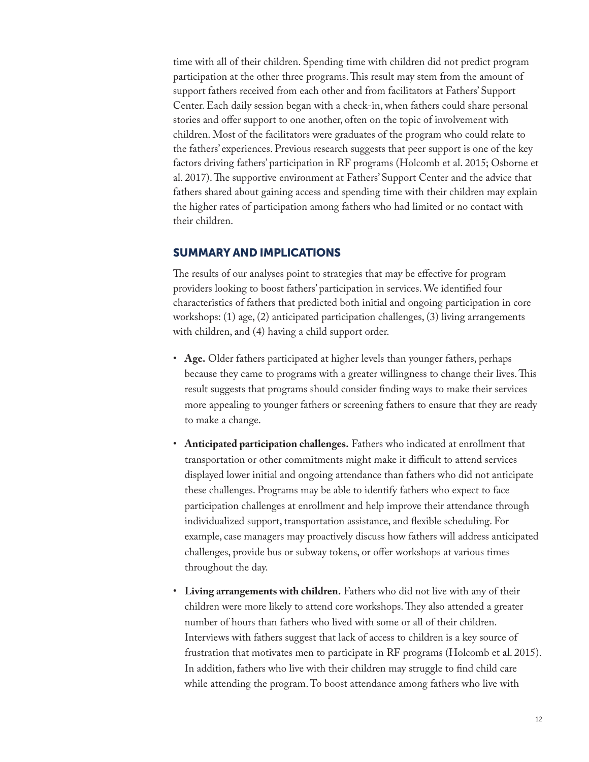time with all of their children. Spending time with children did not predict program participation at the other three programs. This result may stem from the amount of support fathers received from each other and from facilitators at Fathers' Support Center. Each daily session began with a check-in, when fathers could share personal stories and offer support to one another, often on the topic of involvement with children. Most of the facilitators were graduates of the program who could relate to the fathers' experiences. Previous research suggests that peer support is one of the key factors driving fathers' participation in RF programs (Holcomb et al. 2015; Osborne et al. 2017). The supportive environment at Fathers' Support Center and the advice that fathers shared about gaining access and spending time with their children may explain the higher rates of participation among fathers who had limited or no contact with their children.

#### SUMMARY AND IMPLICATIONS

The results of our analyses point to strategies that may be effective for program providers looking to boost fathers' participation in services. We identified four characteristics of fathers that predicted both initial and ongoing participation in core workshops: (1) age, (2) anticipated participation challenges, (3) living arrangements with children, and (4) having a child support order.

- **Age.** Older fathers participated at higher levels than younger fathers, perhaps because they came to programs with a greater willingness to change their lives. This result suggests that programs should consider finding ways to make their services more appealing to younger fathers or screening fathers to ensure that they are ready to make a change.
- **Anticipated participation challenges.** Fathers who indicated at enrollment that transportation or other commitments might make it difficult to attend services displayed lower initial and ongoing attendance than fathers who did not anticipate these challenges. Programs may be able to identify fathers who expect to face participation challenges at enrollment and help improve their attendance through individualized support, transportation assistance, and flexible scheduling. For example, case managers may proactively discuss how fathers will address anticipated challenges, provide bus or subway tokens, or offer workshops at various times throughout the day.
- **Living arrangements with children.** Fathers who did not live with any of their children were more likely to attend core workshops. They also attended a greater number of hours than fathers who lived with some or all of their children. Interviews with fathers suggest that lack of access to children is a key source of frustration that motivates men to participate in RF programs (Holcomb et al. 2015). In addition, fathers who live with their children may struggle to find child care while attending the program. To boost attendance among fathers who live with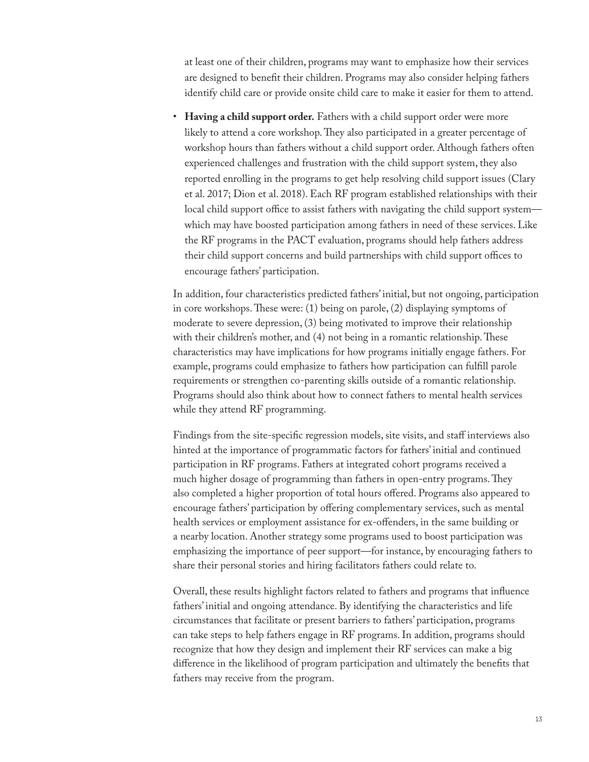at least one of their children, programs may want to emphasize how their services are designed to benefit their children. Programs may also consider helping fathers identify child care or provide onsite child care to make it easier for them to attend.

• **Having a child support order.** Fathers with a child support order were more likely to attend a core workshop. They also participated in a greater percentage of workshop hours than fathers without a child support order. Although fathers often experienced challenges and frustration with the child support system, they also reported enrolling in the programs to get help resolving child support issues (Clary et al. 2017; Dion et al. 2018). Each RF program established relationships with their local child support office to assist fathers with navigating the child support system which may have boosted participation among fathers in need of these services. Like the RF programs in the PACT evaluation, programs should help fathers address their child support concerns and build partnerships with child support offices to encourage fathers' participation.

In addition, four characteristics predicted fathers' initial, but not ongoing, participation in core workshops. These were: (1) being on parole, (2) displaying symptoms of moderate to severe depression, (3) being motivated to improve their relationship with their children's mother, and (4) not being in a romantic relationship. These characteristics may have implications for how programs initially engage fathers. For example, programs could emphasize to fathers how participation can fulfill parole requirements or strengthen co-parenting skills outside of a romantic relationship. Programs should also think about how to connect fathers to mental health services while they attend RF programming.

Findings from the site-specific regression models, site visits, and staff interviews also hinted at the importance of programmatic factors for fathers' initial and continued participation in RF programs. Fathers at integrated cohort programs received a much higher dosage of programming than fathers in open-entry programs. They also completed a higher proportion of total hours offered. Programs also appeared to encourage fathers' participation by offering complementary services, such as mental health services or employment assistance for ex-offenders, in the same building or a nearby location. Another strategy some programs used to boost participation was emphasizing the importance of peer support—for instance, by encouraging fathers to share their personal stories and hiring facilitators fathers could relate to.

Overall, these results highlight factors related to fathers and programs that influence fathers' initial and ongoing attendance. By identifying the characteristics and life circumstances that facilitate or present barriers to fathers' participation, programs can take steps to help fathers engage in RF programs. In addition, programs should recognize that how they design and implement their RF services can make a big difference in the likelihood of program participation and ultimately the benefits that fathers may receive from the program.